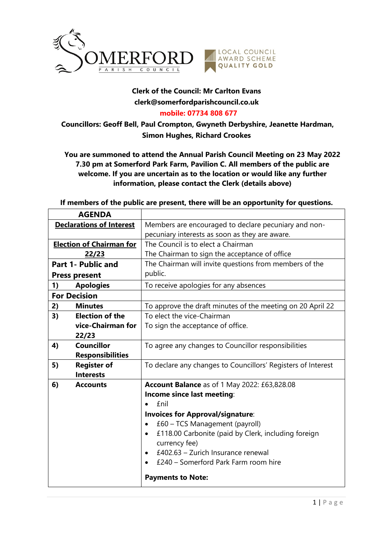

## **Clerk of the Council: Mr Carlton Evans clerk@somerfordparishcouncil.co.uk**

## **mobile: 07734 808 677**

**Councillors: Geoff Bell, Paul Crompton, Gwyneth Derbyshire, Jeanette Hardman, Simon Hughes, Richard Crookes**

**You are summoned to attend the Annual Parish Council Meeting on 23 May 2022 7.30 pm at Somerford Park Farm, Pavilion C. All members of the public are welcome. If you are uncertain as to the location or would like any further information, please contact the Clerk (details above)**

**If members of the public are present, there will be an opportunity for questions.**

| <b>AGENDA</b>                   |                         |                                                                  |
|---------------------------------|-------------------------|------------------------------------------------------------------|
| <b>Declarations of Interest</b> |                         | Members are encouraged to declare pecuniary and non-             |
|                                 |                         | pecuniary interests as soon as they are aware.                   |
| <b>Election of Chairman for</b> |                         | The Council is to elect a Chairman                               |
| 22/23                           |                         | The Chairman to sign the acceptance of office                    |
| <b>Part 1- Public and</b>       |                         | The Chairman will invite questions from members of the           |
| <b>Press present</b>            |                         | public.                                                          |
| 1)                              | <b>Apologies</b>        | To receive apologies for any absences                            |
| <b>For Decision</b>             |                         |                                                                  |
| 2)                              | <b>Minutes</b>          | To approve the draft minutes of the meeting on 20 April 22       |
| 3)                              | <b>Election of the</b>  | To elect the vice-Chairman                                       |
|                                 | vice-Chairman for       | To sign the acceptance of office.                                |
|                                 | 22/23                   |                                                                  |
| 4)                              | <b>Councillor</b>       | To agree any changes to Councillor responsibilities              |
|                                 | <b>Responsibilities</b> |                                                                  |
| 5)                              | <b>Register of</b>      | To declare any changes to Councillors' Registers of Interest     |
|                                 | <b>Interests</b>        |                                                                  |
| 6)                              | <b>Accounts</b>         | <b>Account Balance</b> as of 1 May 2022: £63,828.08              |
|                                 |                         | Income since last meeting:                                       |
|                                 |                         | <b>£nil</b>                                                      |
|                                 |                         | <b>Invoices for Approval/signature:</b>                          |
|                                 |                         | £60 - TCS Management (payroll)                                   |
|                                 |                         | £118.00 Carbonite (paid by Clerk, including foreign<br>$\bullet$ |
|                                 |                         | currency fee)                                                    |
|                                 |                         | £402.63 - Zurich Insurance renewal                               |
|                                 |                         | £240 – Somerford Park Farm room hire                             |
|                                 |                         | <b>Payments to Note:</b>                                         |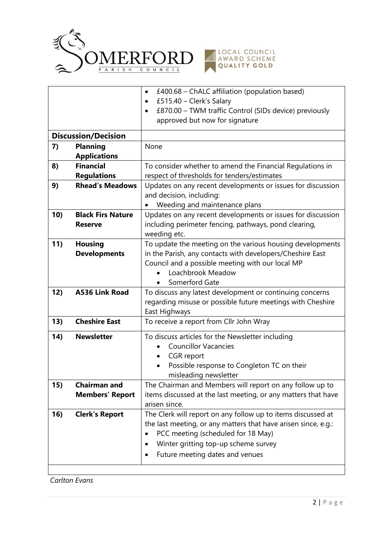



|                            |                                         | £400.68 – ChALC affiliation (population based)<br>$\bullet$         |
|----------------------------|-----------------------------------------|---------------------------------------------------------------------|
|                            |                                         | £515.40 - Clerk's Salary<br>$\bullet$                               |
|                            |                                         | £870.00 - TWM traffic Control (SIDs device) previously<br>$\bullet$ |
|                            |                                         | approved but now for signature                                      |
|                            |                                         |                                                                     |
| <b>Discussion/Decision</b> |                                         |                                                                     |
| 7)                         | <b>Planning</b>                         | None                                                                |
|                            | <b>Applications</b><br><b>Financial</b> |                                                                     |
| 8)                         |                                         | To consider whether to amend the Financial Regulations in           |
|                            | <b>Regulations</b>                      | respect of thresholds for tenders/estimates                         |
| 9)                         | <b>Rhead's Meadows</b>                  | Updates on any recent developments or issues for discussion         |
|                            |                                         | and decision, including:                                            |
|                            |                                         | Weeding and maintenance plans                                       |
| 10)                        | <b>Black Firs Nature</b>                | Updates on any recent developments or issues for discussion         |
|                            | <b>Reserve</b>                          | including perimeter fencing, pathways, pond clearing,               |
|                            |                                         | weeding etc.                                                        |
| 11)                        | <b>Housing</b>                          | To update the meeting on the various housing developments           |
|                            | <b>Developments</b>                     | in the Parish, any contacts with developers/Cheshire East           |
|                            |                                         | Council and a possible meeting with our local MP                    |
|                            |                                         | Loachbrook Meadow                                                   |
|                            |                                         | Somerford Gate                                                      |
| 12)                        | <b>A536 Link Road</b>                   | To discuss any latest development or continuing concerns            |
|                            |                                         | regarding misuse or possible future meetings with Cheshire          |
|                            | <b>Cheshire East</b>                    | East Highways                                                       |
| 13)                        |                                         | To receive a report from Cllr John Wray                             |
| 14)                        | <b>Newsletter</b>                       | To discuss articles for the Newsletter including                    |
|                            |                                         | <b>Councillor Vacancies</b>                                         |
|                            |                                         | CGR report<br>$\bullet$                                             |
|                            |                                         | Possible response to Congleton TC on their                          |
|                            |                                         | misleading newsletter                                               |
| 15)                        | <b>Chairman and</b>                     | The Chairman and Members will report on any follow up to            |
|                            | <b>Members' Report</b>                  | items discussed at the last meeting, or any matters that have       |
|                            |                                         | arisen since.                                                       |
| 16)                        | <b>Clerk's Report</b>                   | The Clerk will report on any follow up to items discussed at        |
|                            |                                         | the last meeting, or any matters that have arisen since, e.g.:      |
|                            |                                         | PCC meeting (scheduled for 18 May)                                  |
|                            |                                         | Winter gritting top-up scheme survey                                |
|                            |                                         | Future meeting dates and venues                                     |
|                            |                                         |                                                                     |
|                            |                                         |                                                                     |

*Carlton Evans*